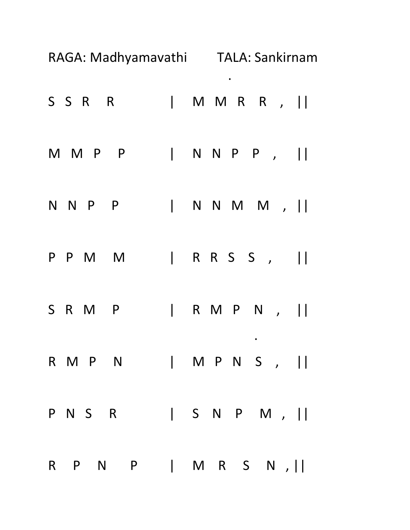|   |         | RAGA: Madhyamavathi TALA: Sankirnam |                                       |   |  |           |              |
|---|---------|-------------------------------------|---------------------------------------|---|--|-----------|--------------|
|   | SSR R   |                                     | $\begin{array}{c} \hline \end{array}$ |   |  | MMRR,     |              |
|   | M M P   | $\overline{P}$                      | $\mathbf{L}$                          |   |  | NNPP,     |              |
|   | N N P P |                                     | $\vert$                               |   |  | NNMM,     |              |
|   | P P M   | <b>M</b>                            | $\mathbf{L}$                          |   |  | RRSS,     | $\mathbf{1}$ |
| S | R M     | $\overline{P}$                      | $\overline{\phantom{a}}$              |   |  | RMPN,     | $\prod$      |
|   | R M P N |                                     |                                       |   |  | M P N S , |              |
|   | P N S R |                                     |                                       |   |  | S N P M , |              |
|   |         | R P N P                             | $\vert$                               | M |  | R S N ,   |              |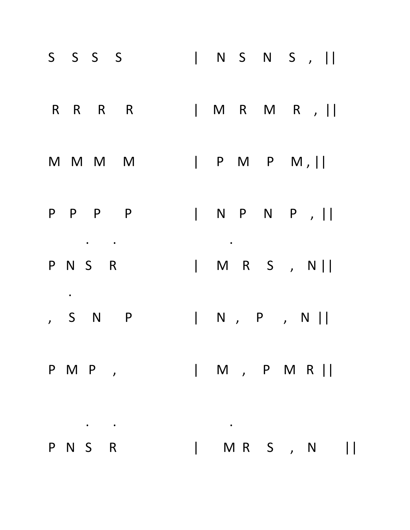| S S S S |               |  |  |  | N S N S ,                                                                   |  |
|---------|---------------|--|--|--|-----------------------------------------------------------------------------|--|
|         | R R R R       |  |  |  | $ M R M R$ , $  $                                                           |  |
|         | M M M M       |  |  |  |                                                                             |  |
|         | P P P P       |  |  |  |                                                                             |  |
| P N S R |               |  |  |  | M R S , N                                                                   |  |
| , S N   | <b>P</b>      |  |  |  | $\begin{array}{ ccc } \hline \quad & N \quad , & P \quad , & N \end{array}$ |  |
|         | PMP,   M, PMR |  |  |  |                                                                             |  |
|         |               |  |  |  |                                                                             |  |
| P N S R |               |  |  |  | MRS, N                                                                      |  |